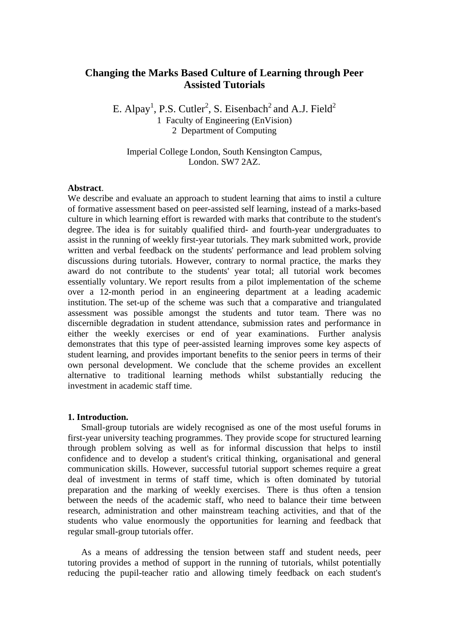# **Changing the Marks Based Culture of Learning through Peer Assisted Tutorials**

E. Alpay<sup>1</sup>, P.S. Cutler<sup>2</sup>, S. Eisenbach<sup>2</sup> and A.J. Field<sup>2</sup> 1 Faculty of Engineering (EnVision) 2 Department of Computing

Imperial College London, South Kensington Campus, London. SW7 2AZ.

## **Abstract**.

We describe and evaluate an approach to student learning that aims to instil a culture of formative assessment based on peer-assisted self learning, instead of a marks-based culture in which learning effort is rewarded with marks that contribute to the student's degree. The idea is for suitably qualified third- and fourth-year undergraduates to assist in the running of weekly first-year tutorials. They mark submitted work, provide written and verbal feedback on the students' performance and lead problem solving discussions during tutorials. However, contrary to normal practice, the marks they award do not contribute to the students' year total; all tutorial work becomes essentially voluntary. We report results from a pilot implementation of the scheme over a 12-month period in an engineering department at a leading academic institution. The set-up of the scheme was such that a comparative and triangulated assessment was possible amongst the students and tutor team. There was no discernible degradation in student attendance, submission rates and performance in either the weekly exercises or end of year examinations. Further analysis demonstrates that this type of peer-assisted learning improves some key aspects of student learning, and provides important benefits to the senior peers in terms of their own personal development. We conclude that the scheme provides an excellent alternative to traditional learning methods whilst substantially reducing the investment in academic staff time.

#### **1. Introduction.**

Small-group tutorials are widely recognised as one of the most useful forums in first-year university teaching programmes. They provide scope for structured learning through problem solving as well as for informal discussion that helps to instil confidence and to develop a student's critical thinking, organisational and general communication skills. However, successful tutorial support schemes require a great deal of investment in terms of staff time, which is often dominated by tutorial preparation and the marking of weekly exercises. There is thus often a tension between the needs of the academic staff, who need to balance their time between research, administration and other mainstream teaching activities, and that of the students who value enormously the opportunities for learning and feedback that regular small-group tutorials offer.

As a means of addressing the tension between staff and student needs, peer tutoring provides a method of support in the running of tutorials, whilst potentially reducing the pupil-teacher ratio and allowing timely feedback on each student's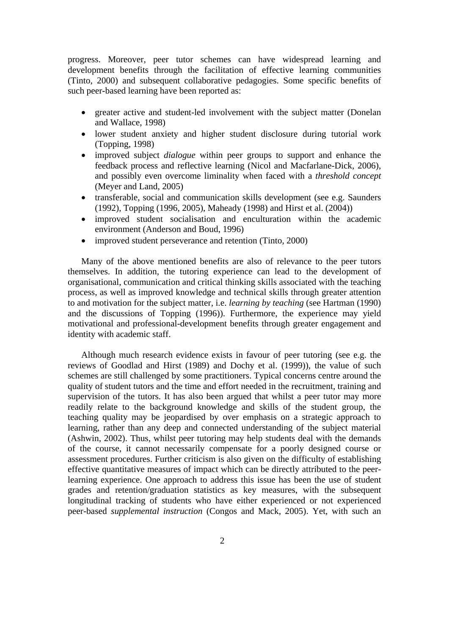progress. Moreover, peer tutor schemes can have widespread learning and development benefits through the facilitation of effective learning communities (Tinto, 2000) and subsequent collaborative pedagogies. Some specific benefits of such peer-based learning have been reported as:

- greater active and student-led involvement with the subject matter (Donelan and Wallace, 1998)
- lower student anxiety and higher student disclosure during tutorial work (Topping, 1998)
- improved subject *dialogue* within peer groups to support and enhance the feedback process and reflective learning (Nicol and Macfarlane-Dick, 2006), and possibly even overcome liminality when faced with a *threshold concept* (Meyer and Land, 2005)
- transferable, social and communication skills development (see e.g. Saunders (1992), Topping (1996, 2005), Maheady (1998) and Hirst et al. (2004))
- improved student socialisation and enculturation within the academic environment (Anderson and Boud, 1996)
- improved student perseverance and retention (Tinto, 2000)

Many of the above mentioned benefits are also of relevance to the peer tutors themselves. In addition, the tutoring experience can lead to the development of organisational, communication and critical thinking skills associated with the teaching process, as well as improved knowledge and technical skills through greater attention to and motivation for the subject matter, i.e. *learning by teaching* (see Hartman (1990) and the discussions of Topping (1996)). Furthermore, the experience may yield motivational and professional-development benefits through greater engagement and identity with academic staff.

Although much research evidence exists in favour of peer tutoring (see e.g. the reviews of Goodlad and Hirst (1989) and Dochy et al. (1999)), the value of such schemes are still challenged by some practitioners. Typical concerns centre around the quality of student tutors and the time and effort needed in the recruitment, training and supervision of the tutors. It has also been argued that whilst a peer tutor may more readily relate to the background knowledge and skills of the student group, the teaching quality may be jeopardised by over emphasis on a strategic approach to learning, rather than any deep and connected understanding of the subject material (Ashwin, 2002). Thus, whilst peer tutoring may help students deal with the demands of the course, it cannot necessarily compensate for a poorly designed course or assessment procedures. Further criticism is also given on the difficulty of establishing effective quantitative measures of impact which can be directly attributed to the peerlearning experience. One approach to address this issue has been the use of student grades and retention/graduation statistics as key measures, with the subsequent longitudinal tracking of students who have either experienced or not experienced peer-based *supplemental instruction* (Congos and Mack, 2005). Yet, with such an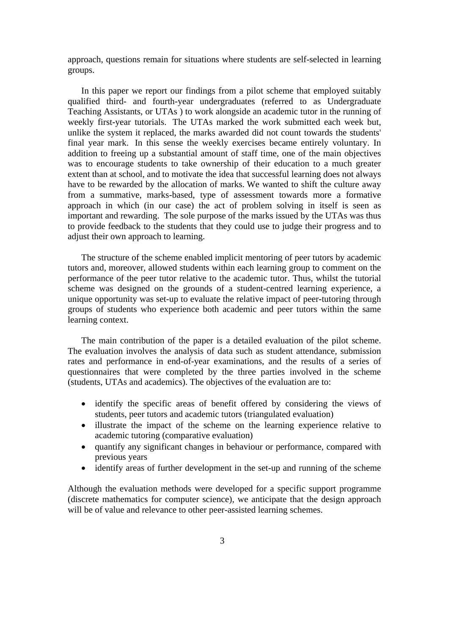approach, questions remain for situations where students are self-selected in learning groups.

In this paper we report our findings from a pilot scheme that employed suitably qualified third- and fourth-year undergraduates (referred to as Undergraduate Teaching Assistants, or UTAs ) to work alongside an academic tutor in the running of weekly first-year tutorials. The UTAs marked the work submitted each week but, unlike the system it replaced, the marks awarded did not count towards the students' final year mark. In this sense the weekly exercises became entirely voluntary. In addition to freeing up a substantial amount of staff time, one of the main objectives was to encourage students to take ownership of their education to a much greater extent than at school, and to motivate the idea that successful learning does not always have to be rewarded by the allocation of marks. We wanted to shift the culture away from a summative, marks-based, type of assessment towards more a formative approach in which (in our case) the act of problem solving in itself is seen as important and rewarding. The sole purpose of the marks issued by the UTAs was thus to provide feedback to the students that they could use to judge their progress and to adjust their own approach to learning.

The structure of the scheme enabled implicit mentoring of peer tutors by academic tutors and, moreover, allowed students within each learning group to comment on the performance of the peer tutor relative to the academic tutor. Thus, whilst the tutorial scheme was designed on the grounds of a student-centred learning experience, a unique opportunity was set-up to evaluate the relative impact of peer-tutoring through groups of students who experience both academic and peer tutors within the same learning context.

The main contribution of the paper is a detailed evaluation of the pilot scheme. The evaluation involves the analysis of data such as student attendance, submission rates and performance in end-of-year examinations, and the results of a series of questionnaires that were completed by the three parties involved in the scheme (students, UTAs and academics). The objectives of the evaluation are to:

- identify the specific areas of benefit offered by considering the views of students, peer tutors and academic tutors (triangulated evaluation)
- illustrate the impact of the scheme on the learning experience relative to academic tutoring (comparative evaluation)
- quantify any significant changes in behaviour or performance, compared with previous years
- identify areas of further development in the set-up and running of the scheme

Although the evaluation methods were developed for a specific support programme (discrete mathematics for computer science), we anticipate that the design approach will be of value and relevance to other peer-assisted learning schemes.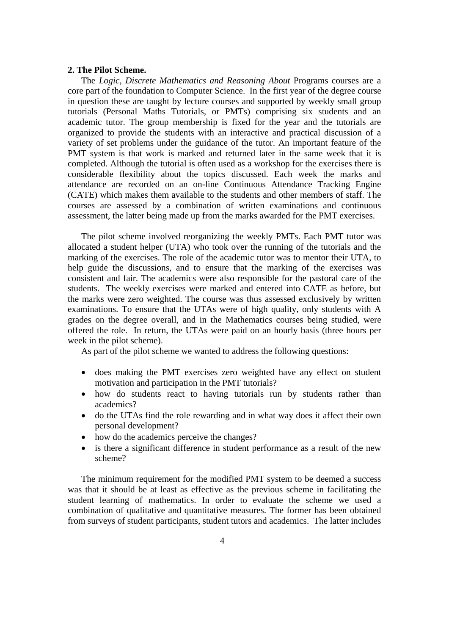## **2. The Pilot Scheme.**

The *Logic, Discrete Mathematics and Reasoning About* Programs courses are a core part of the foundation to Computer Science. In the first year of the degree course in question these are taught by lecture courses and supported by weekly small group tutorials (Personal Maths Tutorials, or PMTs) comprising six students and an academic tutor. The group membership is fixed for the year and the tutorials are organized to provide the students with an interactive and practical discussion of a variety of set problems under the guidance of the tutor. An important feature of the PMT system is that work is marked and returned later in the same week that it is completed. Although the tutorial is often used as a workshop for the exercises there is considerable flexibility about the topics discussed. Each week the marks and attendance are recorded on an on-line Continuous Attendance Tracking Engine (CATE) which makes them available to the students and other members of staff. The courses are assessed by a combination of written examinations and continuous assessment, the latter being made up from the marks awarded for the PMT exercises.

The pilot scheme involved reorganizing the weekly PMTs. Each PMT tutor was allocated a student helper (UTA) who took over the running of the tutorials and the marking of the exercises. The role of the academic tutor was to mentor their UTA, to help guide the discussions, and to ensure that the marking of the exercises was consistent and fair. The academics were also responsible for the pastoral care of the students. The weekly exercises were marked and entered into CATE as before, but the marks were zero weighted. The course was thus assessed exclusively by written examinations. To ensure that the UTAs were of high quality, only students with A grades on the degree overall, and in the Mathematics courses being studied, were offered the role. In return, the UTAs were paid on an hourly basis (three hours per week in the pilot scheme).

As part of the pilot scheme we wanted to address the following questions:

- does making the PMT exercises zero weighted have any effect on student motivation and participation in the PMT tutorials?
- how do students react to having tutorials run by students rather than academics?
- do the UTAs find the role rewarding and in what way does it affect their own personal development?
- how do the academics perceive the changes?
- is there a significant difference in student performance as a result of the new scheme?

The minimum requirement for the modified PMT system to be deemed a success was that it should be at least as effective as the previous scheme in facilitating the student learning of mathematics. In order to evaluate the scheme we used a combination of qualitative and quantitative measures. The former has been obtained from surveys of student participants, student tutors and academics. The latter includes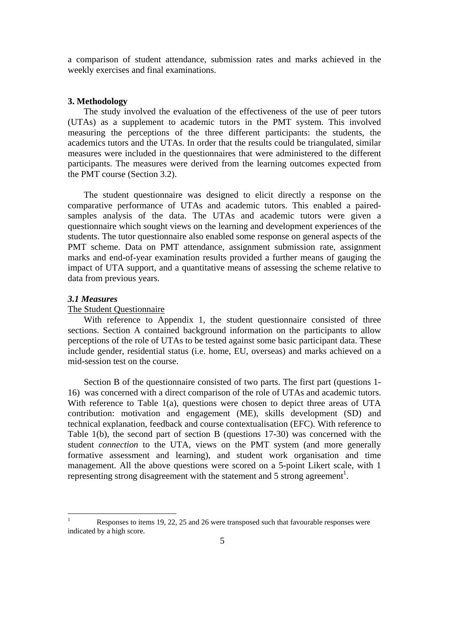a comparison of student attendance, submission rates and marks achieved in the weekly exercises and final examinations.

#### **3. Methodology**

The study involved the evaluation of the effectiveness of the use of peer tutors (UTAs) as a supplement to academic tutors in the PMT system. This involved measuring the perceptions of the three different participants: the students, the academics tutors and the UTAs. In order that the results could be triangulated, similar measures were included in the questionnaires that were administered to the different participants. The measures were derived from the learning outcomes expected from the PMT course (Section 3.2).

The student questionnaire was designed to elicit directly a response on the comparative performance of UTAs and academic tutors. This enabled a pairedsamples analysis of the data. The UTAs and academic tutors were given a questionnaire which sought views on the learning and development experiences of the students. The tutor questionnaire also enabled some response on general aspects of the PMT scheme. Data on PMT attendance, assignment submission rate, assignment marks and end-of-year examination results provided a further means of gauging the impact of UTA support, and a quantitative means of assessing the scheme relative to data from previous years.

### *3.1 Measures*

 $\overline{a}$ 

## The Student Questionnaire

With reference to Appendix 1, the student questionnaire consisted of three sections. Section A contained background information on the participants to allow perceptions of the role of UTAs to be tested against some basic participant data. These include gender, residential status (i.e. home, EU, overseas) and marks achieved on a mid-session test on the course.

Section B of the questionnaire consisted of two parts. The first part (questions 1- 16) was concerned with a direct comparison of the role of UTAs and academic tutors. With reference to Table 1(a), questions were chosen to depict three areas of UTA contribution: motivation and engagement (ME), skills development (SD) and technical explanation, feedback and course contextualisation (EFC). With reference to Table 1(b), the second part of section B (questions 17-30) was concerned with the student *connection* to the UTA, views on the PMT system (and more generally formative assessment and learning), and student work organisation and time management. All the above questions were scored on a 5-point Likert scale, with 1 representing strong disagreement with the statement and  $5$  strong agreement<sup>1</sup>.

<sup>1</sup> Responses to items 19, 22, 25 and 26 were transposed such that favourable responses were indicated by a high score.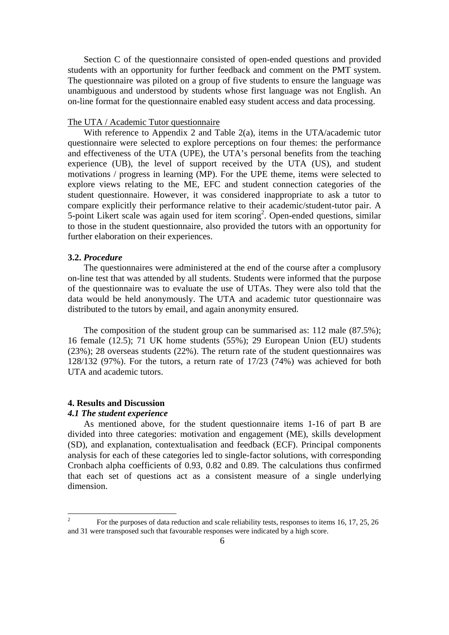Section C of the questionnaire consisted of open-ended questions and provided students with an opportunity for further feedback and comment on the PMT system. The questionnaire was piloted on a group of five students to ensure the language was unambiguous and understood by students whose first language was not English. An on-line format for the questionnaire enabled easy student access and data processing.

## The UTA / Academic Tutor questionnaire

With reference to Appendix 2 and Table 2(a), items in the UTA/academic tutor questionnaire were selected to explore perceptions on four themes: the performance and effectiveness of the UTA (UPE), the UTA's personal benefits from the teaching experience (UB), the level of support received by the UTA (US), and student motivations / progress in learning (MP). For the UPE theme, items were selected to explore views relating to the ME, EFC and student connection categories of the student questionnaire. However, it was considered inappropriate to ask a tutor to compare explicitly their performance relative to their academic/student-tutor pair. A 5-point Likert scale was again used for item scoring<sup>2</sup>. Open-ended questions, similar to those in the student questionnaire, also provided the tutors with an opportunity for further elaboration on their experiences.

#### **3.2.** *Procedure*

The questionnaires were administered at the end of the course after a complusory on-line test that was attended by all students. Students were informed that the purpose of the questionnaire was to evaluate the use of UTAs. They were also told that the data would be held anonymously. The UTA and academic tutor questionnaire was distributed to the tutors by email, and again anonymity ensured.

The composition of the student group can be summarised as: 112 male (87.5%); 16 female (12.5); 71 UK home students (55%); 29 European Union (EU) students (23%); 28 overseas students (22%). The return rate of the student questionnaires was 128/132 (97%). For the tutors, a return rate of 17/23 (74%) was achieved for both UTA and academic tutors.

## **4. Results and Discussion**

## *4.1 The student experience*

As mentioned above, for the student questionnaire items 1-16 of part B are divided into three categories: motivation and engagement (ME), skills development (SD), and explanation, contextualisation and feedback (ECF). Principal components analysis for each of these categories led to single-factor solutions, with corresponding Cronbach alpha coefficients of 0.93, 0.82 and 0.89. The calculations thus confirmed that each set of questions act as a consistent measure of a single underlying dimension.

 $\frac{1}{2}$  For the purposes of data reduction and scale reliability tests, responses to items 16, 17, 25, 26 and 31 were transposed such that favourable responses were indicated by a high score.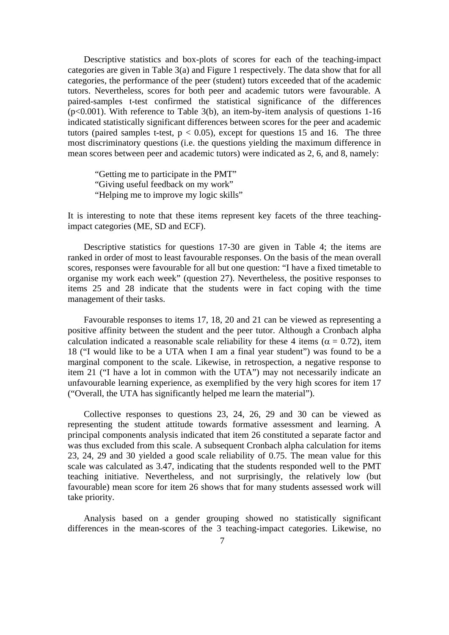Descriptive statistics and box-plots of scores for each of the teaching-impact categories are given in Table 3(a) and Figure 1 respectively. The data show that for all categories, the performance of the peer (student) tutors exceeded that of the academic tutors. Nevertheless, scores for both peer and academic tutors were favourable. A paired-samples t-test confirmed the statistical significance of the differences  $(p<0.001)$ . With reference to Table 3(b), an item-by-item analysis of questions 1-16 indicated statistically significant differences between scores for the peer and academic tutors (paired samples t-test,  $p < 0.05$ ), except for questions 15 and 16. The three most discriminatory questions (i.e. the questions yielding the maximum difference in mean scores between peer and academic tutors) were indicated as 2, 6, and 8, namely:

 "Getting me to participate in the PMT" "Giving useful feedback on my work"

"Helping me to improve my logic skills"

It is interesting to note that these items represent key facets of the three teachingimpact categories (ME, SD and ECF).

Descriptive statistics for questions 17-30 are given in Table 4; the items are ranked in order of most to least favourable responses. On the basis of the mean overall scores, responses were favourable for all but one question: "I have a fixed timetable to organise my work each week" (question 27). Nevertheless, the positive responses to items 25 and 28 indicate that the students were in fact coping with the time management of their tasks.

Favourable responses to items 17, 18, 20 and 21 can be viewed as representing a positive affinity between the student and the peer tutor. Although a Cronbach alpha calculation indicated a reasonable scale reliability for these 4 items ( $\alpha = 0.72$ ), item 18 ("I would like to be a UTA when I am a final year student") was found to be a marginal component to the scale. Likewise, in retrospection, a negative response to item 21 ("I have a lot in common with the UTA") may not necessarily indicate an unfavourable learning experience, as exemplified by the very high scores for item 17 ("Overall, the UTA has significantly helped me learn the material").

Collective responses to questions 23, 24, 26, 29 and 30 can be viewed as representing the student attitude towards formative assessment and learning. A principal components analysis indicated that item 26 constituted a separate factor and was thus excluded from this scale. A subsequent Cronbach alpha calculation for items 23, 24, 29 and 30 yielded a good scale reliability of 0.75. The mean value for this scale was calculated as 3.47, indicating that the students responded well to the PMT teaching initiative. Nevertheless, and not surprisingly, the relatively low (but favourable) mean score for item 26 shows that for many students assessed work will take priority.

Analysis based on a gender grouping showed no statistically significant differences in the mean-scores of the 3 teaching-impact categories. Likewise, no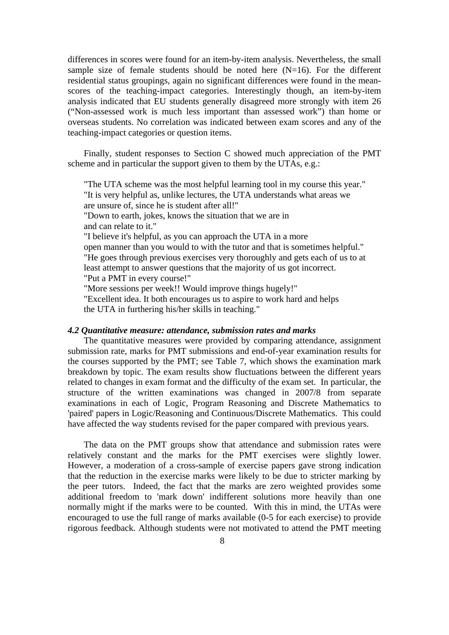differences in scores were found for an item-by-item analysis. Nevertheless, the small sample size of female students should be noted here  $(N=16)$ . For the different residential status groupings, again no significant differences were found in the meanscores of the teaching-impact categories. Interestingly though, an item-by-item analysis indicated that EU students generally disagreed more strongly with item 26 ("Non-assessed work is much less important than assessed work") than home or overseas students. No correlation was indicated between exam scores and any of the teaching-impact categories or question items.

Finally, student responses to Section C showed much appreciation of the PMT scheme and in particular the support given to them by the UTAs, e.g.:

"The UTA scheme was the most helpful learning tool in my course this year." "It is very helpful as, unlike lectures, the UTA understands what areas we are unsure of, since he is student after all!"

"Down to earth, jokes, knows the situation that we are in and can relate to it."

"I believe it's helpful, as you can approach the UTA in a more

open manner than you would to with the tutor and that is sometimes helpful." "He goes through previous exercises very thoroughly and gets each of us to at least attempt to answer questions that the majority of us got incorrect. "Put a PMT in every course!"

"More sessions per week!! Would improve things hugely!"

"Excellent idea. It both encourages us to aspire to work hard and helps the UTA in furthering his/her skills in teaching."

### *4.2 Quantitative measure: attendance, submission rates and marks*

The quantitative measures were provided by comparing attendance, assignment submission rate, marks for PMT submissions and end-of-year examination results for the courses supported by the PMT; see Table 7, which shows the examination mark breakdown by topic. The exam results show fluctuations between the different years related to changes in exam format and the difficulty of the exam set. In particular, the structure of the written examinations was changed in 2007/8 from separate examinations in each of Logic, Program Reasoning and Discrete Mathematics to 'paired' papers in Logic/Reasoning and Continuous/Discrete Mathematics. This could have affected the way students revised for the paper compared with previous years.

The data on the PMT groups show that attendance and submission rates were relatively constant and the marks for the PMT exercises were slightly lower. However, a moderation of a cross-sample of exercise papers gave strong indication that the reduction in the exercise marks were likely to be due to stricter marking by the peer tutors. Indeed, the fact that the marks are zero weighted provides some additional freedom to 'mark down' indifferent solutions more heavily than one normally might if the marks were to be counted. With this in mind, the UTAs were encouraged to use the full range of marks available (0-5 for each exercise) to provide rigorous feedback. Although students were not motivated to attend the PMT meeting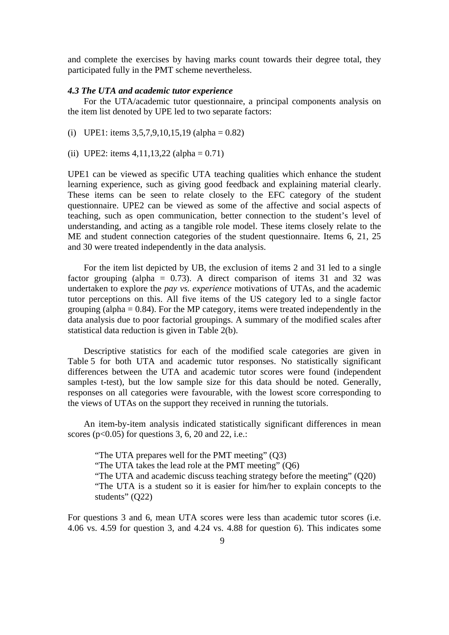and complete the exercises by having marks count towards their degree total, they participated fully in the PMT scheme nevertheless.

## *4.3 The UTA and academic tutor experience*

For the UTA/academic tutor questionnaire, a principal components analysis on the item list denoted by UPE led to two separate factors:

- (i) UPE1: items  $3,5,7,9,10,15,19$  (alpha = 0.82)
- (ii) UPE2: items  $4.11.13.22$  (alpha = 0.71)

UPE1 can be viewed as specific UTA teaching qualities which enhance the student learning experience, such as giving good feedback and explaining material clearly. These items can be seen to relate closely to the EFC category of the student questionnaire. UPE2 can be viewed as some of the affective and social aspects of teaching, such as open communication, better connection to the student's level of understanding, and acting as a tangible role model. These items closely relate to the ME and student connection categories of the student questionnaire. Items 6, 21, 25 and 30 were treated independently in the data analysis.

For the item list depicted by UB, the exclusion of items 2 and 31 led to a single factor grouping (alpha =  $0.73$ ). A direct comparison of items 31 and 32 was undertaken to explore the *pay vs. experience* motivations of UTAs, and the academic tutor perceptions on this. All five items of the US category led to a single factor grouping (alpha  $= 0.84$ ). For the MP category, items were treated independently in the data analysis due to poor factorial groupings. A summary of the modified scales after statistical data reduction is given in Table 2(b).

Descriptive statistics for each of the modified scale categories are given in Table 5 for both UTA and academic tutor responses. No statistically significant differences between the UTA and academic tutor scores were found (independent samples t-test), but the low sample size for this data should be noted. Generally, responses on all categories were favourable, with the lowest score corresponding to the views of UTAs on the support they received in running the tutorials.

An item-by-item analysis indicated statistically significant differences in mean scores ( $p<0.05$ ) for questions 3, 6, 20 and 22, i.e.:

 "The UTA prepares well for the PMT meeting" (Q3) "The UTA takes the lead role at the PMT meeting"  $(Q6)$  "The UTA and academic discuss teaching strategy before the meeting" (Q20) "The UTA is a student so it is easier for him/her to explain concepts to the students" (Q22)

For questions 3 and 6, mean UTA scores were less than academic tutor scores (i.e. 4.06 vs. 4.59 for question 3, and 4.24 vs. 4.88 for question 6). This indicates some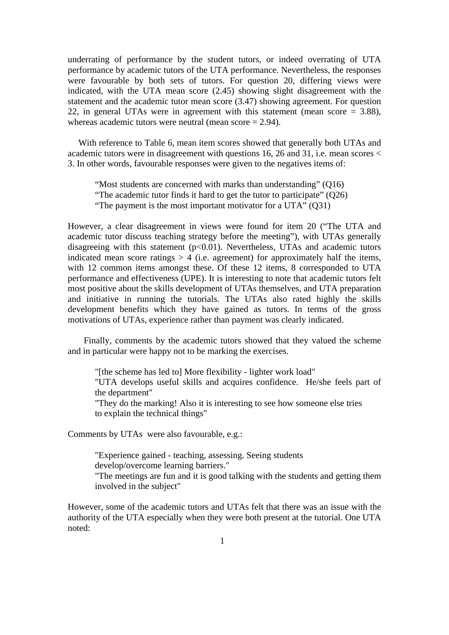underrating of performance by the student tutors, or indeed overrating of UTA performance by academic tutors of the UTA performance. Nevertheless, the responses were favourable by both sets of tutors. For question 20, differing views were indicated, with the UTA mean score (2.45) showing slight disagreement with the statement and the academic tutor mean score (3.47) showing agreement. For question 22, in general UTAs were in agreement with this statement (mean score  $= 3.88$ ), whereas academic tutors were neutral (mean score  $= 2.94$ ).

With reference to Table 6, mean item scores showed that generally both UTAs and academic tutors were in disagreement with questions 16, 26 and 31, i.e. mean scores < 3. In other words, favourable responses were given to the negatives items of:

"Most students are concerned with marks than understanding" (Q16)

"The academic tutor finds it hard to get the tutor to participate" (Q26)

"The payment is the most important motivator for a UTA" (Q31)

However, a clear disagreement in views were found for item 20 ("The UTA and academic tutor discuss teaching strategy before the meeting"), with UTAs generally disagreeing with this statement  $(p< 0.01)$ . Nevertheless, UTAs and academic tutors indicated mean score ratings  $> 4$  (i.e. agreement) for approximately half the items, with 12 common items amongst these. Of these 12 items, 8 corresponded to UTA performance and effectiveness (UPE). It is interesting to note that academic tutors felt most positive about the skills development of UTAs themselves, and UTA preparation and initiative in running the tutorials. The UTAs also rated highly the skills development benefits which they have gained as tutors. In terms of the gross motivations of UTAs, experience rather than payment was clearly indicated.

Finally, comments by the academic tutors showed that they valued the scheme and in particular were happy not to be marking the exercises.

"[the scheme has led to] More flexibility - lighter work load"

 "UTA develops useful skills and acquires confidence. He/she feels part of the department"

 "They do the marking! Also it is interesting to see how someone else tries to explain the technical things"

Comments by UTAs were also favourable, e.g.:

 "Experience gained - teaching, assessing. Seeing students develop/overcome learning barriers." "The meetings are fun and it is good talking with the students and getting them involved in the subject"

However, some of the academic tutors and UTAs felt that there was an issue with the authority of the UTA especially when they were both present at the tutorial. One UTA noted: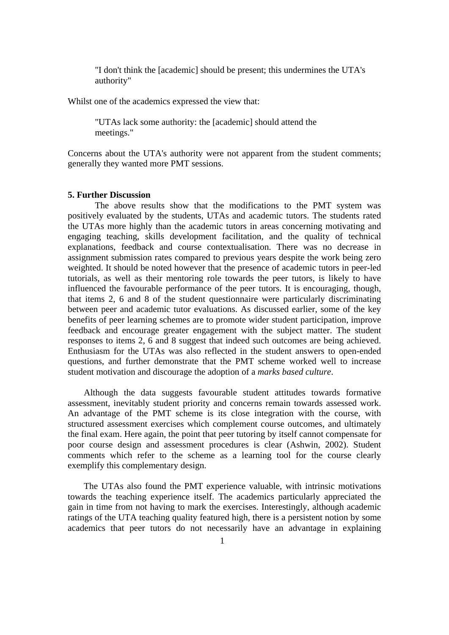"I don't think the [academic] should be present; this undermines the UTA's authority"

Whilst one of the academics expressed the view that:

 "UTAs lack some authority: the [academic] should attend the meetings."

Concerns about the UTA's authority were not apparent from the student comments; generally they wanted more PMT sessions.

#### **5. Further Discussion**

 The above results show that the modifications to the PMT system was positively evaluated by the students, UTAs and academic tutors. The students rated the UTAs more highly than the academic tutors in areas concerning motivating and engaging teaching, skills development facilitation, and the quality of technical explanations, feedback and course contextualisation. There was no decrease in assignment submission rates compared to previous years despite the work being zero weighted. It should be noted however that the presence of academic tutors in peer-led tutorials, as well as their mentoring role towards the peer tutors, is likely to have influenced the favourable performance of the peer tutors. It is encouraging, though, that items 2, 6 and 8 of the student questionnaire were particularly discriminating between peer and academic tutor evaluations. As discussed earlier, some of the key benefits of peer learning schemes are to promote wider student participation, improve feedback and encourage greater engagement with the subject matter. The student responses to items 2, 6 and 8 suggest that indeed such outcomes are being achieved. Enthusiasm for the UTAs was also reflected in the student answers to open-ended questions, and further demonstrate that the PMT scheme worked well to increase student motivation and discourage the adoption of a *marks based culture*.

 Although the data suggests favourable student attitudes towards formative assessment, inevitably student priority and concerns remain towards assessed work. An advantage of the PMT scheme is its close integration with the course, with structured assessment exercises which complement course outcomes, and ultimately the final exam. Here again, the point that peer tutoring by itself cannot compensate for poor course design and assessment procedures is clear (Ashwin, 2002). Student comments which refer to the scheme as a learning tool for the course clearly exemplify this complementary design.

 The UTAs also found the PMT experience valuable, with intrinsic motivations towards the teaching experience itself. The academics particularly appreciated the gain in time from not having to mark the exercises. Interestingly, although academic ratings of the UTA teaching quality featured high, there is a persistent notion by some academics that peer tutors do not necessarily have an advantage in explaining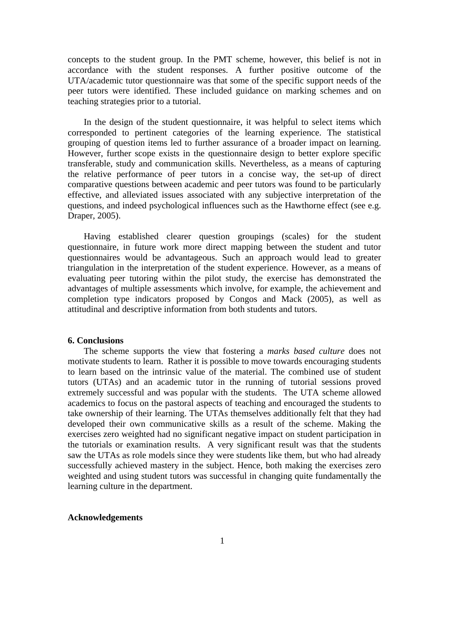concepts to the student group. In the PMT scheme, however, this belief is not in accordance with the student responses. A further positive outcome of the UTA/academic tutor questionnaire was that some of the specific support needs of the peer tutors were identified. These included guidance on marking schemes and on teaching strategies prior to a tutorial.

 In the design of the student questionnaire, it was helpful to select items which corresponded to pertinent categories of the learning experience. The statistical grouping of question items led to further assurance of a broader impact on learning. However, further scope exists in the questionnaire design to better explore specific transferable, study and communication skills. Nevertheless, as a means of capturing the relative performance of peer tutors in a concise way, the set-up of direct comparative questions between academic and peer tutors was found to be particularly effective, and alleviated issues associated with any subjective interpretation of the questions, and indeed psychological influences such as the Hawthorne effect (see e.g. Draper, 2005).

 Having established clearer question groupings (scales) for the student questionnaire, in future work more direct mapping between the student and tutor questionnaires would be advantageous. Such an approach would lead to greater triangulation in the interpretation of the student experience. However, as a means of evaluating peer tutoring within the pilot study, the exercise has demonstrated the advantages of multiple assessments which involve, for example, the achievement and completion type indicators proposed by Congos and Mack (2005), as well as attitudinal and descriptive information from both students and tutors.

#### **6. Conclusions**

 The scheme supports the view that fostering a *marks based culture* does not motivate students to learn. Rather it is possible to move towards encouraging students to learn based on the intrinsic value of the material. The combined use of student tutors (UTAs) and an academic tutor in the running of tutorial sessions proved extremely successful and was popular with the students. The UTA scheme allowed academics to focus on the pastoral aspects of teaching and encouraged the students to take ownership of their learning. The UTAs themselves additionally felt that they had developed their own communicative skills as a result of the scheme. Making the exercises zero weighted had no significant negative impact on student participation in the tutorials or examination results. A very significant result was that the students saw the UTAs as role models since they were students like them, but who had already successfully achieved mastery in the subject. Hence, both making the exercises zero weighted and using student tutors was successful in changing quite fundamentally the learning culture in the department.

## **Acknowledgements**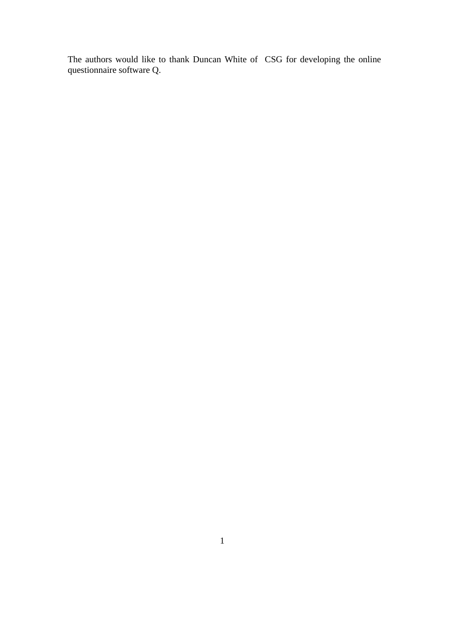The authors would like to thank Duncan White of CSG for developing the online questionnaire software Q.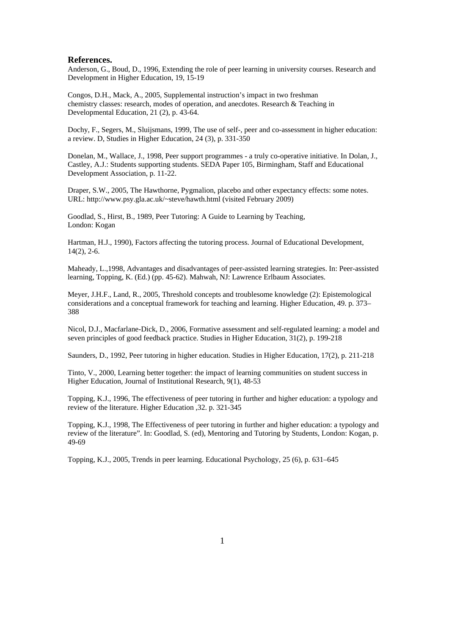#### **References.**

Anderson, G., Boud, D., 1996, Extending the role of peer learning in university courses. Research and Development in Higher Education, 19, 15-19

Congos, D.H., Mack, A., 2005, Supplemental instruction's impact in two freshman chemistry classes: research, modes of operation, and anecdotes. Research & Teaching in Developmental Education, 21 (2), p. 43-64.

Dochy, F., Segers, M., Sluijsmans, 1999, The use of self-, peer and co-assessment in higher education: a review. D, Studies in Higher Education, 24 (3), p. 331-350

Donelan, M., Wallace, J., 1998, Peer support programmes - a truly co-operative initiative. In Dolan, J., Castley, A.J.: Students supporting students. SEDA Paper 105, Birmingham, Staff and Educational Development Association, p. 11-22.

Draper, S.W., 2005, The Hawthorne, Pygmalion, placebo and other expectancy effects: some notes. URL: http://www.psy.gla.ac.uk/~steve/hawth.html (visited February 2009)

Goodlad, S., Hirst, B., 1989, Peer Tutoring: A Guide to Learning by Teaching, London: Kogan

Hartman, H.J., 1990), Factors affecting the tutoring process. Journal of Educational Development, 14(2), 2-6.

Maheady, L.,1998, Advantages and disadvantages of peer-assisted learning strategies. In: Peer-assisted learning, Topping, K. (Ed.) (pp. 45-62). Mahwah, NJ: Lawrence Erlbaum Associates.

Meyer, J.H.F., Land, R., 2005, Threshold concepts and troublesome knowledge (2): Epistemological considerations and a conceptual framework for teaching and learning. Higher Education, 49. p. 373– 388

Nicol, D.J., Macfarlane-Dick, D., 2006, Formative assessment and self-regulated learning: a model and seven principles of good feedback practice. Studies in Higher Education, 31(2), p. 199-218

Saunders, D., 1992, Peer tutoring in higher education. Studies in Higher Education, 17(2), p. 211-218

Tinto, V., 2000, Learning better together: the impact of learning communities on student success in Higher Education, Journal of Institutional Research, 9(1), 48-53

Topping, K.J., 1996, The effectiveness of peer tutoring in further and higher education: a typology and review of the literature. Higher Education ,32. p. 321-345

Topping, K.J., 1998, The Effectiveness of peer tutoring in further and higher education: a typology and review of the literature". In: Goodlad, S. (ed), Mentoring and Tutoring by Students, London: Kogan, p. 49-69

Topping, K.J., 2005, Trends in peer learning. Educational Psychology, 25 (6), p. 631–645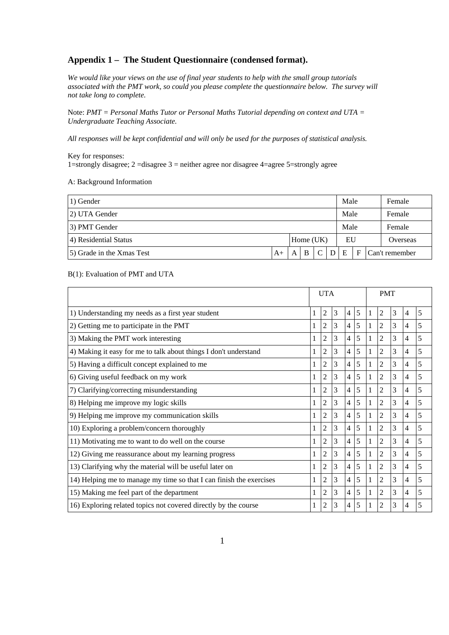## **Appendix 1 – The Student Questionnaire (condensed format).**

*We would like your views on the use of final year students to help with the small group tutorials associated with the PMT work, so could you please complete the questionnaire below. The survey will not take long to complete.* 

Note: *PMT = Personal Maths Tutor or Personal Maths Tutorial depending on context and UTA = Undergraduate Teaching Associate.* 

*All responses will be kept confidential and will only be used for the purposes of statistical analysis.* 

Key for responses:

1=strongly disagree; 2 = disagree 3 = neither agree nor disagree 4=agree 5=strongly agree

#### A: Background Information

| 1) Gender                 |             |   |   |             |               | Male |  |          | Female             |
|---------------------------|-------------|---|---|-------------|---------------|------|--|----------|--------------------|
| 2) UTA Gender             |             |   |   |             |               | Male |  |          | Female             |
| 3) PMT Gender             |             |   |   |             |               | Male |  |          | Female             |
| 4) Residential Status     | Home $(UK)$ |   |   |             | EU            |      |  | Overseas |                    |
| 5) Grade in the Xmas Test | $A+$        | A | B | $\mathbf C$ | $D^{\dagger}$ | E    |  |          | $F$ Can't remember |

### B(1): Evaluation of PMT and UTA

|                                                                     | <b>UTA</b> |   | <b>PMT</b> |                |   |   |                |   |                |   |
|---------------------------------------------------------------------|------------|---|------------|----------------|---|---|----------------|---|----------------|---|
| 1) Understanding my needs as a first year student                   |            | 2 | 3          | 4              | 5 | 1 | $\overline{2}$ | 3 | 4              | 5 |
| 2) Getting me to participate in the PMT                             |            | 2 | 3          | $\overline{4}$ | 5 |   | 2              | 3 | 4              | 5 |
| 3) Making the PMT work interesting                                  |            | 2 | 3          | 4              | 5 | 1 | 2              | 3 | $\overline{4}$ | 5 |
| 4) Making it easy for me to talk about things I don't understand    |            | 2 | 3          | 4              | 5 | 1 | $\overline{2}$ | 3 | 4              | 5 |
| 5) Having a difficult concept explained to me                       |            | 2 | 3          | 4              | 5 | 1 | 2              | 3 | 4              | 5 |
| 6) Giving useful feedback on my work                                |            | 2 | 3          | 4              | 5 | 1 | 2              | 3 | $\overline{4}$ | 5 |
| 7) Clarifying/correcting misunderstanding                           |            | 2 | 3          | 4              | 5 | 1 | 2              | 3 | $\overline{4}$ | 5 |
| 8) Helping me improve my logic skills                               |            | 2 | 3          | 4              | 5 | 1 | $\overline{c}$ | 3 | $\overline{4}$ | 5 |
| 9) Helping me improve my communication skills                       |            | 2 | 3          | 4              | 5 | 1 | 2              | 3 | $\overline{4}$ | 5 |
| 10) Exploring a problem/concern thoroughly                          |            | 2 | 3          | $\overline{4}$ | 5 |   | 2              | 3 | 4              | 5 |
| 11) Motivating me to want to do well on the course                  |            | 2 | 3          | 4              | 5 | 1 | 2              | 3 | $\overline{4}$ | 5 |
| 12) Giving me reassurance about my learning progress                |            | 2 | 3          | $\overline{4}$ | 5 | 1 | 2              | 3 | 4              | 5 |
| 13) Clarifying why the material will be useful later on             |            | 2 | 3          | 4              | 5 | 1 | 2              | 3 | $\overline{4}$ | 5 |
| 14) Helping me to manage my time so that I can finish the exercises |            | 2 | 3          | 4              | 5 | 1 | $\overline{2}$ | 3 | $\overline{4}$ | 5 |
| 15) Making me feel part of the department                           |            | 2 | 3          | 4              | 5 | 1 | 2              | 3 | $\overline{4}$ | 5 |
| 16) Exploring related topics not covered directly by the course     |            | 2 | 3          | 4              | 5 | 1 | $\overline{c}$ | 3 | 4              | 5 |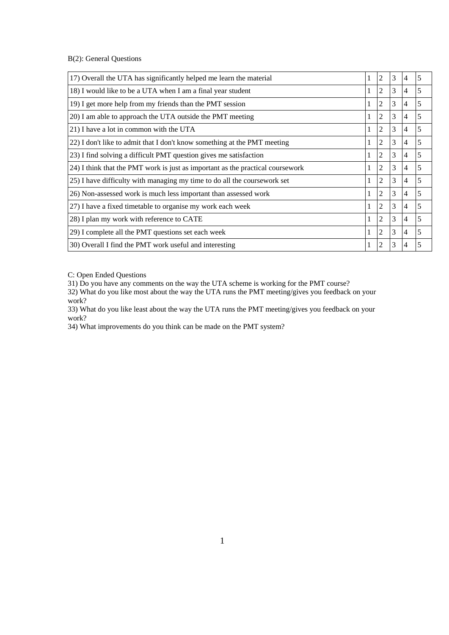B(2): General Questions

| 17) Overall the UTA has significantly helped me learn the material             |              | $\overline{c}$ | 3 | 4              | 5 |
|--------------------------------------------------------------------------------|--------------|----------------|---|----------------|---|
| 18) I would like to be a UTA when I am a final year student                    |              | 2              | 3 | 4              | 5 |
| 19) I get more help from my friends than the PMT session                       |              | 2              | 3 | 4              | 5 |
| 20) I am able to approach the UTA outside the PMT meeting                      |              | 2              | 3 | 4              | 5 |
| 21) I have a lot in common with the UTA                                        | 1            | $\overline{c}$ | 3 | 4              | 5 |
| 22) I don't like to admit that I don't know something at the PMT meeting       |              | $\overline{c}$ | 3 | 4              | 5 |
| 23) I find solving a difficult PMT question gives me satisfaction              |              | 2              | 3 | 4              | 5 |
| 24) I think that the PMT work is just as important as the practical coursework |              | $\overline{c}$ | 3 | $\overline{4}$ | 5 |
| 25) I have difficulty with managing my time to do all the coursework set       |              | $\overline{2}$ | 3 | 4              | 5 |
| 26) Non-assessed work is much less important than assessed work                |              | 2              | 3 | 4              | 5 |
| 27) I have a fixed timetable to organise my work each week                     |              | $\overline{2}$ | 3 | 4              | 5 |
| 28) I plan my work with reference to CATE                                      | $\mathbf{1}$ | $\overline{2}$ | 3 | 4              | 5 |
| 29) I complete all the PMT questions set each week                             |              | $\overline{2}$ | 3 | 4              | 5 |
| 30) Overall I find the PMT work useful and interesting                         |              | 2              | 3 | 4              |   |

C: Open Ended Questions

31) Do you have any comments on the way the UTA scheme is working for the PMT course?

32) What do you like most about the way the UTA runs the PMT meeting/gives you feedback on your work?

33) What do you like least about the way the UTA runs the PMT meeting/gives you feedback on your work?

34) What improvements do you think can be made on the PMT system?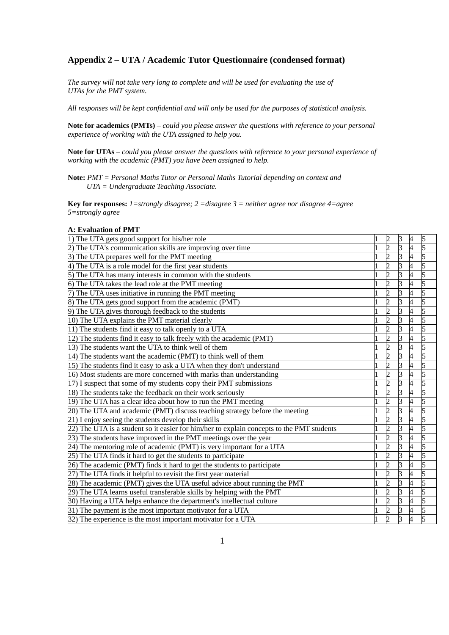## **Appendix 2 – UTA / Academic Tutor Questionnaire (condensed format)**

*The survey will not take very long to complete and will be used for evaluating the use of UTAs for the PMT system.* 

*All responses will be kept confidential and will only be used for the purposes of statistical analysis.* 

**Note for academics (PMTs)** *– could you please answer the questions with reference to your personal experience of working with the UTA assigned to help you.* 

**Note for UTAs** *– could you please answer the questions with reference to your personal experience of working with the academic (PMT) you have been assigned to help.* 

**Note:** *PMT = Personal Maths Tutor or Personal Maths Tutorial depending on context and UTA = Undergraduate Teaching Associate.* 

**Key for responses:** *1=strongly disagree; 2 =disagree 3 = neither agree nor disagree 4=agree 5=strongly agree* 

#### **A: Evaluation of PMT**

| 1) The UTA gets good support for his/her role                                             | 2                           | 3              | $\overline{4}$ | 5 |
|-------------------------------------------------------------------------------------------|-----------------------------|----------------|----------------|---|
| 2) The UTA's communication skills are improving over time                                 |                             |                |                | 5 |
| 3) The UTA prepares well for the PMT meeting                                              |                             |                | 4              | 5 |
| 4) The UTA is a role model for the first year students                                    | $\mathcal{D}_{\mathcal{A}}$ | 3              |                |   |
| 5) The UTA has many interests in common with the students                                 |                             |                |                | 5 |
| 6) The UTA takes the lead role at the PMT meeting                                         | っ                           |                |                | 5 |
| 7) The UTA uses initiative in running the PMT meeting                                     |                             |                |                | 5 |
| 8) The UTA gets good support from the academic (PMT)                                      | 2                           | 3              |                | 5 |
| 9) The UTA gives thorough feedback to the students                                        | $\mathcal{D}$               | R,             |                |   |
| 10) The UTA explains the PMT material clearly                                             |                             |                |                |   |
| 11) The students find it easy to talk openly to a UTA                                     | $\overline{\mathcal{L}}$    | R              |                | 5 |
| 12) The students find it easy to talk freely with the academic (PMT)                      | $\mathcal{D}$               | R,             | 4              | 5 |
| 13) The students want the UTA to think well of them                                       |                             |                |                | 5 |
| 14) The students want the academic (PMT) to think well of them                            | $\mathcal{D}_{\mathcal{A}}$ | R,             |                | 5 |
| 15) The students find it easy to ask a UTA when they don't understand                     | $\overline{\mathcal{L}}$    |                |                |   |
| 16) Most students are more concerned with marks than understanding                        |                             |                |                |   |
| 17) I suspect that some of my students copy their PMT submissions                         | $\mathfrak{D}$              | R              |                | 5 |
| 18) The students take the feedback on their work seriously                                | $\mathfrak{D}$              | 3              |                | 5 |
| 19) The UTA has a clear idea about how to run the PMT meeting                             |                             |                |                |   |
| 20) The UTA and academic (PMT) discuss teaching strategy before the meeting               | $\overline{c}$              |                |                |   |
| 21) I enjoy seeing the students develop their skills                                      | $\mathcal{D}_{\mathcal{L}}$ | R,             |                |   |
| 22) The UTA is a student so it easier for him/her to explain concepts to the PMT students | $\overline{\mathcal{L}}$    | R              |                |   |
| 23) The students have improved in the PMT meetings over the year                          | $\mathfrak{D}$              |                | 4              | 5 |
| 24) The mentoring role of academic (PMT) is very important for a UTA                      | $\mathcal{D}_{\mathcal{L}}$ | R,             |                | 5 |
| 25) The UTA finds it hard to get the students to participate                              |                             |                |                | 5 |
| 26) The academic (PMT) finds it hard to get the students to participate                   | C                           | R              | 4              |   |
| 27) The UTA finds it helpful to revisit the first year material                           |                             | 3              |                |   |
| 28) The academic (PMT) gives the UTA useful advice about running the PMT                  | $\overline{c}$              | 3              | 4              | 5 |
| 29) The UTA learns useful transferable skills by helping with the PMT                     | $\mathfrak{D}$              | 3              | 4              | 5 |
| 30) Having a UTA helps enhance the department's intellectual culture                      |                             | 3              |                | 5 |
| 31) The payment is the most important motivator for a UTA                                 | $\overline{c}$              | 3              | 4              | 5 |
| 32) The experience is the most important motivator for a UTA                              | $\overline{2}$              | $\overline{3}$ |                | 5 |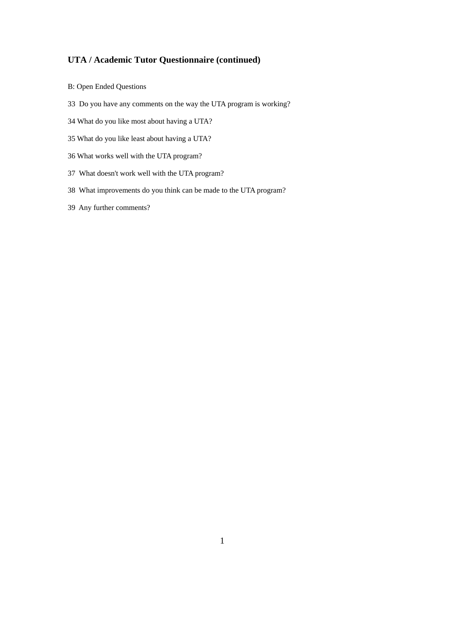## **UTA / Academic Tutor Questionnaire (continued)**

- B: Open Ended Questions
- 33 Do you have any comments on the way the UTA program is working?
- 34 What do you like most about having a UTA?
- 35 What do you like least about having a UTA?
- 36 What works well with the UTA program?
- 37 What doesn't work well with the UTA program?
- 38 What improvements do you think can be made to the UTA program?
- 39 Any further comments?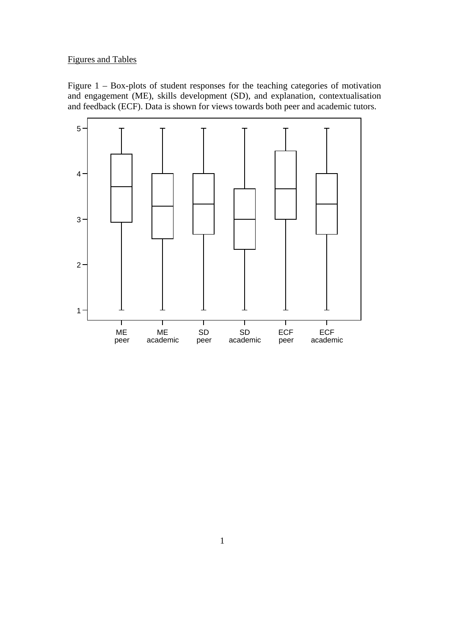# Figures and Tables

Figure 1 – Box-plots of student responses for the teaching categories of motivation and engagement (ME), skills development (SD), and explanation, contextualisation and feedback (ECF). Data is shown for views towards both peer and academic tutors.

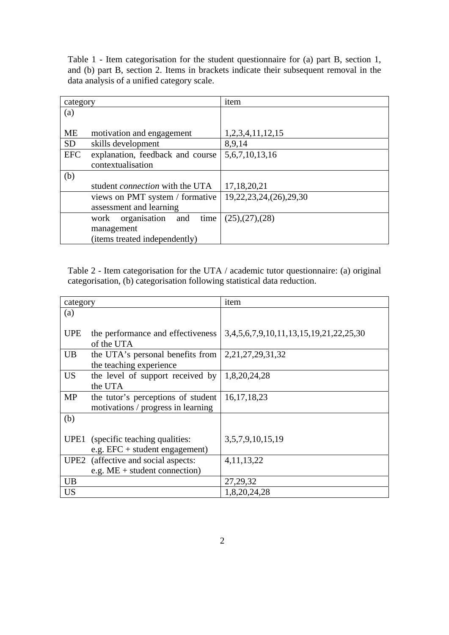Table 1 - Item categorisation for the student questionnaire for (a) part B, section 1, and (b) part B, section 2. Items in brackets indicate their subsequent removal in the data analysis of a unified category scale.

| category   |                                        | item                         |
|------------|----------------------------------------|------------------------------|
| (a)        |                                        |                              |
|            |                                        |                              |
| ME         | motivation and engagement              | 1,2,3,4,11,12,15             |
| <b>SD</b>  | skills development                     | 8,9,14                       |
| <b>EFC</b> | explanation, feedback and course       | 5, 6, 7, 10, 13, 16          |
|            | contextualisation                      |                              |
| (b)        |                                        |                              |
|            | student <i>connection</i> with the UTA | 17, 18, 20, 21               |
|            | views on PMT system / formative        | 19, 22, 23, 24, (26), 29, 30 |
|            | assessment and learning                |                              |
|            | organisation<br>and<br>work<br>time    | (25),(27),(28)               |
|            | management                             |                              |
|            | (items treated independently)          |                              |

Table 2 - Item categorisation for the UTA / academic tutor questionnaire: (a) original categorisation, (b) categorisation following statistical data reduction.

| category         |                                     | item                                                 |
|------------------|-------------------------------------|------------------------------------------------------|
| (a)              |                                     |                                                      |
|                  |                                     |                                                      |
| <b>UPE</b>       | the performance and effectiveness   | 3, 4, 5, 6, 7, 9, 10, 11, 13, 15, 19, 21, 22, 25, 30 |
|                  | of the UTA                          |                                                      |
| <b>UB</b>        | the UTA's personal benefits from    | 2, 21, 27, 29, 31, 32                                |
|                  | the teaching experience             |                                                      |
| <b>US</b>        | the level of support received by    | 1,8,20,24,28                                         |
|                  | the UTA                             |                                                      |
| <b>MP</b>        | the tutor's perceptions of student  | 16, 17, 18, 23                                       |
|                  | motivations / progress in learning  |                                                      |
| (b)              |                                     |                                                      |
|                  |                                     |                                                      |
| UPE <sub>1</sub> | (specific teaching qualities:       | 3,5,7,9,10,15,19                                     |
|                  | e.g. $EFC + student engagement)$    |                                                      |
|                  | UPE2 (affective and social aspects: | 4, 11, 13, 22                                        |
|                  | e.g. $ME + student connection)$     |                                                      |
| <b>UB</b>        |                                     | 27, 29, 32                                           |
| <b>US</b>        |                                     | 1,8,20,24,28                                         |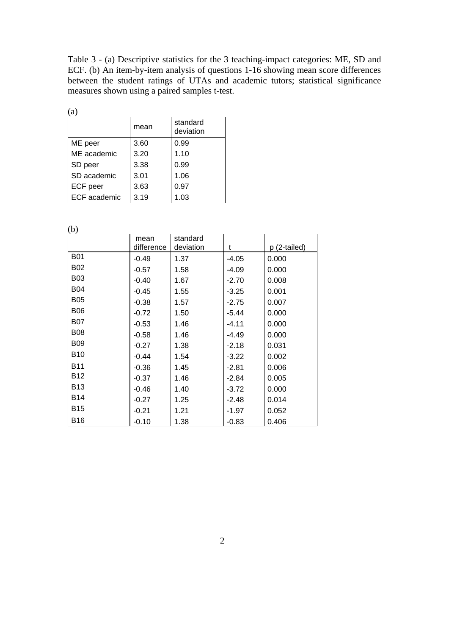Table 3 - (a) Descriptive statistics for the 3 teaching-impact categories: ME, SD and ECF. (b) An item-by-item analysis of questions 1-16 showing mean score differences between the student ratings of UTAs and academic tutors; statistical significance measures shown using a paired samples t-test.

| (a)                 |      |                       |
|---------------------|------|-----------------------|
|                     | mean | standard<br>deviation |
| ME peer             | 3.60 | 0.99                  |
| ME academic         | 3.20 | 1.10                  |
| SD peer             | 3.38 | 0.99                  |
| SD academic         | 3.01 | 1.06                  |
| <b>ECF</b> peer     | 3.63 | 0.97                  |
| <b>ECF</b> academic | 3.19 | 1.03                  |

(b)

|            | mean<br>difference | standard<br>deviation | t       | p (2-tailed) |
|------------|--------------------|-----------------------|---------|--------------|
| <b>B01</b> | $-0.49$            | 1.37                  | $-4.05$ | 0.000        |
| B02        | $-0.57$            | 1.58                  | $-4.09$ | 0.000        |
| B03        | $-0.40$            | 1.67                  | $-2.70$ | 0.008        |
| <b>B04</b> | $-0.45$            | 1.55                  | $-3.25$ | 0.001        |
| <b>B05</b> | $-0.38$            | 1.57                  | $-2.75$ | 0.007        |
| <b>B06</b> | $-0.72$            | 1.50                  | $-5.44$ | 0.000        |
| B07        | $-0.53$            | 1.46                  | $-4.11$ | 0.000        |
| B08        | $-0.58$            | 1.46                  | -4.49   | 0.000        |
| <b>B09</b> | $-0.27$            | 1.38                  | $-2.18$ | 0.031        |
| <b>B10</b> | $-0.44$            | 1.54                  | $-3.22$ | 0.002        |
| <b>B11</b> | $-0.36$            | 1.45                  | $-2.81$ | 0.006        |
| B12        | $-0.37$            | 1.46                  | $-2.84$ | 0.005        |
| B13        | $-0.46$            | 1.40                  | $-3.72$ | 0.000        |
| B14        | $-0.27$            | 1.25                  | $-2.48$ | 0.014        |
| B15        | $-0.21$            | 1.21                  | $-1.97$ | 0.052        |
| <b>B16</b> | $-0.10$            | 1.38                  | $-0.83$ | 0.406        |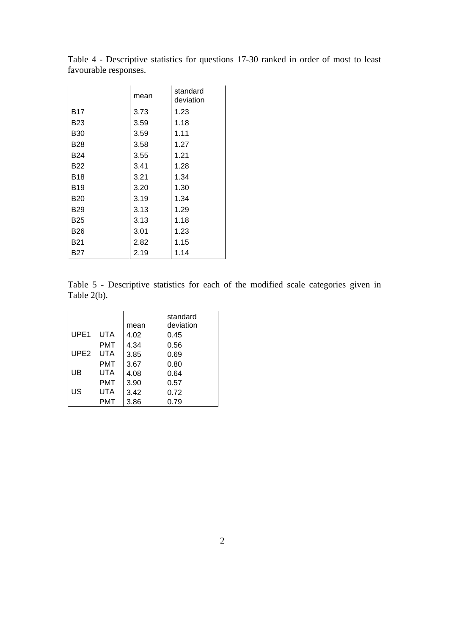|            | mean | standard<br>deviation |
|------------|------|-----------------------|
| <b>B17</b> | 3.73 | 1.23                  |
| B23        | 3.59 | 1.18                  |
| B30        | 3.59 | 1.11                  |
| B28        | 3.58 | 1.27                  |
| B24        | 3.55 | 1.21                  |
| B22        | 3.41 | 1.28                  |
| B18        | 3.21 | 1.34                  |
| B19        | 3.20 | 1.30                  |
| B20        | 3.19 | 1.34                  |
| B29        | 3.13 | 1.29                  |
| B25        | 3.13 | 1.18                  |
| B26        | 3.01 | 1.23                  |
| B21        | 2.82 | 1.15                  |
| B27        | 2.19 | 1.14                  |

Table 4 - Descriptive statistics for questions 17-30 ranked in order of most to least favourable responses.

Table 5 - Descriptive statistics for each of the modified scale categories given in Table 2(b).

|                  |     | mean | standard<br>deviation |
|------------------|-----|------|-----------------------|
| UPE <sub>1</sub> | UTA | 4.02 | 0.45                  |
|                  | PMT | 4.34 | 0.56                  |
| UPE <sub>2</sub> | UTA | 3.85 | 0.69                  |
|                  | PMT | 3.67 | 0.80                  |
| UB               | UTA | 4.08 | 0.64                  |
|                  | PMT | 3.90 | 0.57                  |
| US               | UTA | 3.42 | 0.72                  |
|                  | PMT | 3.86 | 0.79                  |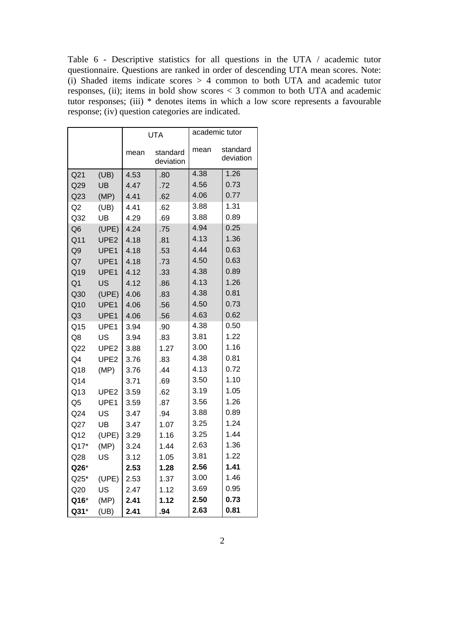Table 6 - Descriptive statistics for all questions in the UTA / academic tutor questionnaire. Questions are ranked in order of descending UTA mean scores. Note:  $(i)$  Shaded items indicate scores  $> 4$  common to both UTA and academic tutor responses, (ii); items in bold show scores  $\lt$  3 common to both UTA and academic tutor responses; (iii) \* denotes items in which a low score represents a favourable response; (iv) question categories are indicated.

|                 |                  |      | <b>UTA</b>            | academic tutor |                       |
|-----------------|------------------|------|-----------------------|----------------|-----------------------|
|                 |                  | mean | standard<br>deviation | mean           | standard<br>deviation |
| Q <sub>21</sub> | (UB)             | 4.53 | .80                   | 4.38           | 1.26                  |
| Q29             | UB               | 4.47 | .72                   | 4.56           | 0.73                  |
| Q23             | (MP)             | 4.41 | .62                   | 4.06           | 0.77                  |
| Q2              | (UB)             | 4.41 | .62                   | 3.88           | 1.31                  |
| Q <sub>32</sub> | UB               | 4.29 | .69                   | 3.88           | 0.89                  |
| Q <sub>6</sub>  | (UPE)            | 4.24 | .75                   | 4.94           | 0.25                  |
| Q <sub>11</sub> | UPE <sub>2</sub> | 4.18 | .81                   | 4.13           | 1.36                  |
| Q <sub>9</sub>  | UPE1             | 4.18 | .53                   | 4.44           | 0.63                  |
| Q7              | UPE1             | 4.18 | .73                   | 4.50           | 0.63                  |
| Q19             | UPE1             | 4.12 | .33                   | 4.38           | 0.89                  |
| Q <sub>1</sub>  | US               | 4.12 | .86                   | 4.13           | 1.26                  |
| Q30             | (UPE)            | 4.06 | .83                   | 4.38           | 0.81                  |
| Q10             | UPE1             | 4.06 | .56                   | 4.50           | 0.73                  |
| Q <sub>3</sub>  | UPE1             | 4.06 | .56                   | 4.63           | 0.62                  |
| Q <sub>15</sub> | UPE1             | 3.94 | .90                   | 4.38           | 0.50                  |
| Q8              | US               | 3.94 | .83                   | 3.81           | 1.22                  |
| Q22             | UPE2             | 3.88 | 1.27                  | 3.00           | 1.16                  |
| Q <sub>4</sub>  | UPE2             | 3.76 | .83                   | 4.38           | 0.81                  |
| Q18             | (MP)             | 3.76 | .44                   | 4.13           | 0.72                  |
| Q14             |                  | 3.71 | .69                   | 3.50           | 1.10                  |
| Q13             | UPE <sub>2</sub> | 3.59 | .62                   | 3.19           | 1.05                  |
| Q <sub>5</sub>  | UPE1             | 3.59 | .87                   | 3.56           | 1.26                  |
| Q24             | US               | 3.47 | .94                   | 3.88           | 0.89                  |
| Q27             | UB               | 3.47 | 1.07                  | 3.25           | 1.24                  |
| Q12             | (UPE)            | 3.29 | 1.16                  | 3.25           | 1.44                  |
| Q17*            | (MP)             | 3.24 | 1.44                  | 2.63           | 1.36                  |
| Q28             | US               | 3.12 | 1.05                  | 3.81           | 1.22                  |
| $Q26*$          |                  | 2.53 | 1.28                  | 2.56           | 1.41                  |
| $Q25*$          | (UPE)            | 2.53 | 1.37                  | 3.00           | 1.46                  |
| Q20             | US               | 2.47 | 1.12                  | 3.69           | 0.95                  |
| $Q16*$          | (MP)             | 2.41 | 1.12                  | 2.50           | 0.73                  |
| $Q31*$          | (UB)             | 2.41 | .94                   | 2.63           | 0.81                  |